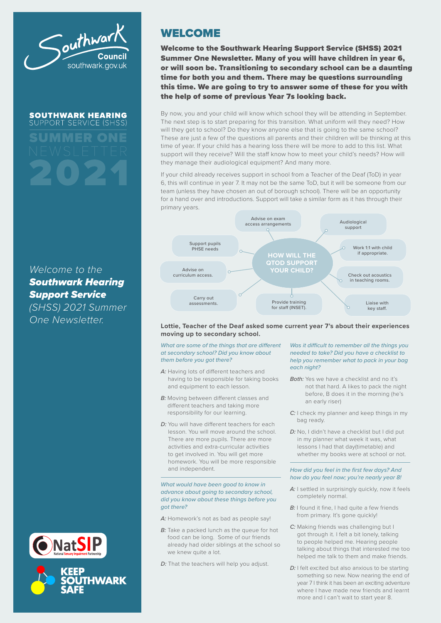

**SOUTHWARK HEARING** SUPPORT SERVICE (SH) SUMMER ONE

# *Welcome to the Southwark Hearing Support Service*

*(SHSS) 2021 Summer One Newsletter.*



# WELCOME

Welcome to the Southwark Hearing Support Service (SHSS) 2021 Summer One Newsletter. Many of you will have children in year 6, or will soon be. Transitioning to secondary school can be a daunting time for both you and them. There may be questions surrounding this time. We are going to try to answer some of these for you with the help of some of previous Year 7s looking back.

By now, you and your child will know which school they will be attending in September. The next step is to start preparing for this transition. What uniform will they need? How will they get to school? Do they know anyone else that is going to the same school? These are just a few of the questions all parents and their children will be thinking at this time of year. If your child has a hearing loss there will be more to add to this list. What support will they receive? Will the staff know how to meet your child's needs? How will they manage their audiological equipment? And many more.

If your child already receives support in school from a Teacher of the Deaf (ToD) in year 6, this will continue in year 7. It may not be the same ToD, but it will be someone from our team (unless they have chosen an out of borough school). There will be an opportunity for a hand over and introductions. Support will take a similar form as it has through their primary years.



## **Lottie, Teacher of the Deaf asked some current year 7's about their experiences moving up to secondary school.**

## *What are some of the things that are different at secondary school? Did you know about them before you got there?*

- *A:* Having lots of different teachers and having to be responsible for taking books and equipment to each lesson.
- **B:** Moving between different classes and different teachers and taking more responsibility for our learning.
- *D:* You will have different teachers for each lesson. You will move around the school. There are more pupils. There are more activities and extra-curricular activities to get involved in. You will get more homework. You will be more responsible and independent.

## *What would have been good to know in advance about going to secondary school, did you know about these things before you got there?*

- A: Homework's not as bad as people say!
- *B*: Take a packed lunch as the queue for hot food can be long. Some of our friends already had older siblings at the school so we knew quite a lot.
- *D:* That the teachers will help you adjust.

## *Was it difficult to remember all the things you needed to take? Did you have a checklist to help you remember what to pack in your bag each night?*

- *Both:* Yes we have a checklist and no it's not that hard. A likes to pack the night before, B does it in the morning (he's an early riser)
- *C:* I check my planner and keep things in my bag ready.
- *D:* No, I didn't have a checklist but I did put in my planner what week it was, what lessons I had that day(timetable) and whether my books were at school or not.

## *How did you feel in the first few days? And how do you feel now; you're nearly year 8!*

- *A:* I settled in surprisingly quickly, now it feels completely normal.
- *B*: I found it fine, I had quite a few friends from primary. It's gone quickly!
- *C:* Making friends was challenging but I got through it. I felt a bit lonely, talking to people helped me. Hearing people talking about things that interested me too helped me talk to them and make friends.
- *D:* I felt excited but also anxious to be starting something so new. Now nearing the end of year 7 I think it has been an exciting adventure where I have made new friends and learnt more and I can't wait to start year 8.